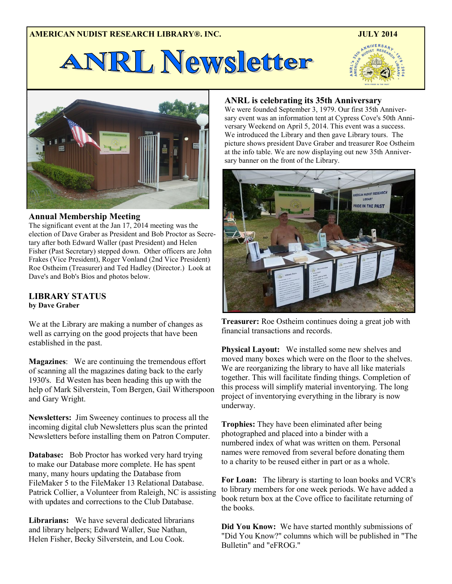# **AMERICAN NUDIST RESEARCH LIBRARY®. INC. JULY 2014**

# **ANRL Newsletter**





# **Annual Membership Meeting**

The significant event at the Jan 17, 2014 meeting was the election of Dave Graber as President and Bob Proctor as Secretary after both Edward Waller (past President) and Helen Fisher (Past Secretary) stepped down. Other officers are John Frakes (Vice President), Roger Vonland (2nd Vice President) Roe Ostheim (Treasurer) and Ted Hadley (Director.) Look at Dave's and Bob's Bios and photos below.

# **LIBRARY STATUS by Dave Graber**

We at the Library are making a number of changes as well as carrying on the good projects that have been established in the past.

**Magazines**: We are continuing the tremendous effort of scanning all the magazines dating back to the early 1930's. Ed Westen has been heading this up with the help of Mark Silverstein, Tom Bergen, Gail Witherspoon and Gary Wright.

**Newsletters:** Jim Sweeney continues to process all the incoming digital club Newsletters plus scan the printed Newsletters before installing them on Patron Computer.

**Database:** Bob Proctor has worked very hard trying to make our Database more complete. He has spent many, many hours updating the Database from FileMaker 5 to the FileMaker 13 Relational Database. Patrick Collier, a Volunteer from Raleigh, NC is assisting with updates and corrections to the Club Database.

**Librarians:** We have several dedicated librarians and library helpers; Edward Waller, Sue Nathan, Helen Fisher, Becky Silverstein, and Lou Cook.

# **ANRL is celebrating its 35th Anniversary**

We were founded September 3, 1979. Our first 35th Anniversary event was an information tent at Cypress Cove's 50th Anniversary Weekend on April 5, 2014. This event was a success. We introduced the Library and then gave Library tours. The picture shows president Dave Graber and treasurer Roe Ostheim at the info table. We are now displaying out new 35th Anniversary banner on the front of the Library.



**Treasurer:** Roe Ostheim continues doing a great job with financial transactions and records.

**Physical Layout:** We installed some new shelves and moved many boxes which were on the floor to the shelves. We are reorganizing the library to have all like materials together. This will facilitate finding things. Completion of this process will simplify material inventorying. The long project of inventorying everything in the library is now underway.

**Trophies:** They have been eliminated after being photographed and placed into a binder with a numbered index of what was written on them. Personal names were removed from several before donating them to a charity to be reused either in part or as a whole.

**For Loan:** The library is starting to loan books and VCR's to library members for one week periods. We have added a book return box at the Cove office to facilitate returning of the books.

**Did You Know:** We have started monthly submissions of "Did You Know?" columns which will be published in "The Bulletin" and "eFROG."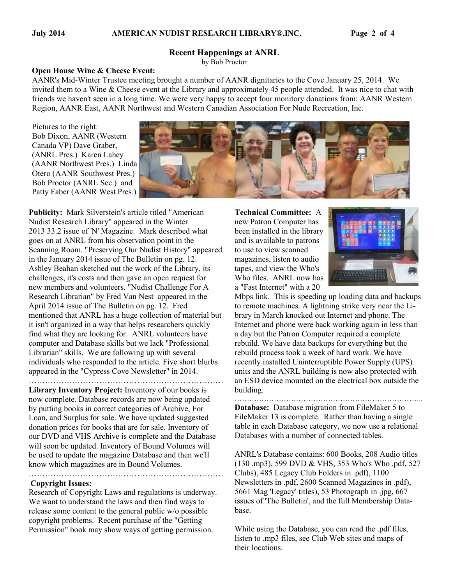#### **Recent Happenings at ANRL**

by Bob Proctor

#### **Open House Wine & Cheese Event:**

AANR's Mid-Winter Trustee meeting brought a number of AANR dignitaries to the Cove January 25, 2014. We invited them to a Wine & Cheese event at the Library and approximately 45 people attended. It was nice to chat with friends we haven't seen in a long time. We were very happy to accept four monitory donations from: AANR Western Region, AANR East, AANR Northwest and Western Canadian Association For Nude Recreation, Inc.

Pictures to the right: Bob Dixon, AANR (Western Canada VP) Dave Graber, (ANRL Pres.) Karen Lahey (AANR Northwest Pres.) Linda Otero (AANR Southwest Pres.) Bob Proctor (ANRL Sec.) and Patty Faber (AANR West Pres.)



**Publicity:** Mark Silverstein's article titled "American Nudist Research Library" appeared in the Winter 2013 33.2 issue of 'N' Magazine. Mark described what goes on at ANRL from his observation point in the Scanning Room. "Preserving Our Nudist History" appeared in the January 2014 issue of The Bulletin on pg. 12. Ashley Beahan sketched out the work of the Library, its challenges, it's costs and then gave an open request for new members and volunteers. "Nudist Challenge For A Research Librarian" by Fred Van Nest appeared in the April 2014 issue of The Bulletin on pg. 12. Fred mentioned that ANRL has a huge collection of material but it isn't organized in a way that helps researchers quickly find what they are looking for. ANRL volunteers have computer and Database skills but we lack "Professional Librarian" skills. We are following up with several individuals who responded to the article. Five short blurbs appeared in the "Cypress Cove Newsletter" in 2014.

……………………………………………………………… **Library Inventory Project:** Inventory of our books is now complete. Database records are now being updated by putting books in correct categories of Archive, For Loan, and Surplus for sale. We have updated suggested donation prices for books that are for sale. Inventory of our DVD and VHS Archive is complete and the Database will soon be updated. Inventory of Bound Volumes will be used to update the magazine Database and then we'll know which magazines are in Bound Volumes.

#### **Copyright Issues:**

Research of Copyright Laws and regulations is underway. We want to understand the laws and then find ways to release some content to the general public w/o possible copyright problems. Recent purchase of the "Getting Permission" book may show ways of getting permission.

………………………………………………………………

**Technical Committee:** A new Patron Computer has been installed in the library and is available to patrons to use to view scanned magazines, listen to audio tapes, and view the Who's Who files. ANRL now has a "Fast Internet" with a 20



Mbps link. This is speeding up loading data and backups to remote machines. A lightning strike very near the Library in March knocked out Internet and phone. The Internet and phone were back working again in less than a day but the Patron Computer required a complete rebuild. We have data backups for everything but the rebuild process took a week of hard work. We have recently installed Uninterruptible Power Supply (UPS) units and the ANRL building is now also protected with an ESD device mounted on the electrical box outside the building.

………………………………………………………………….. **Database:** Database migration from FileMaker 5 to FileMaker 13 is complete. Rather than having a single table in each Database category, we now use a relational Databases with a number of connected tables.

ANRL's Database contains: 600 Books, 208 Audio titles (130 .mp3), 599 DVD & VHS, 353 Who's Who .pdf, 527 Clubs), 485 Legacy Club Folders in .pdf), 1100 Newsletters in .pdf, 2600 Scanned Magazines in .pdf), 5661 Mag 'Legacy' titles), 53 Photograph in .jpg, 667 issues of 'The Bulletin', and the full Membership Database.

While using the Database, you can read the .pdf files, listen to .mp3 files, see Club Web sites and maps of their locations.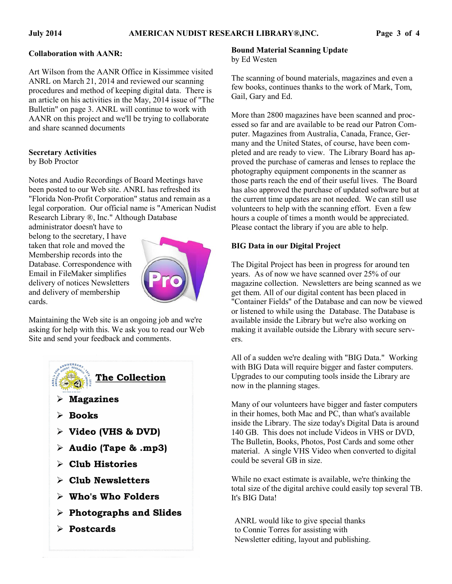#### **Collaboration with AANR:**

Art Wilson from the AANR Office in Kissimmee visited ANRL on March 21, 2014 and reviewed our scanning procedures and method of keeping digital data. There is an article on his activities in the May, 2014 issue of "The Bulletin" on page 3. ANRL will continue to work with AANR on this project and we'll be trying to collaborate and share scanned documents

#### **Secretary Activities**

by Bob Proctor

Notes and Audio Recordings of Board Meetings have been posted to our Web site. ANRL has refreshed its "Florida Non-Profit Corporation" status and remain as a legal corporation. Our official name is "American Nudist Research Library ®, Inc." Although Database

administrator doesn't have to belong to the secretary, I have taken that role and moved the Membership records into the Database. Correspondence with Email in FileMaker simplifies delivery of notices Newsletters and delivery of membership cards.



Maintaining the Web site is an ongoing job and we're asking for help with this. We ask you to read our Web Site and send your feedback and comments.



# **Bound Material Scanning Update**

by Ed Westen

The scanning of bound materials, magazines and even a few books, continues thanks to the work of Mark, Tom, Gail, Gary and Ed.

More than 2800 magazines have been scanned and processed so far and are available to be read our Patron Computer. Magazines from Australia, Canada, France, Germany and the United States, of course, have been completed and are ready to view. The Library Board has approved the purchase of cameras and lenses to replace the photography equipment components in the scanner as those parts reach the end of their useful lives. The Board has also approved the purchase of updated software but at the current time updates are not needed. We can still use volunteers to help with the scanning effort. Even a few hours a couple of times a month would be appreciated. Please contact the library if you are able to help.

#### **BIG Data in our Digital Project**

The Digital Project has been in progress for around ten years. As of now we have scanned over 25% of our magazine collection. Newsletters are being scanned as we get them. All of our digital content has been placed in "Container Fields" of the Database and can now be viewed or listened to while using the Database. The Database is available inside the Library but we're also working on making it available outside the Library with secure servers.

All of a sudden we're dealing with "BIG Data." Working with BIG Data will require bigger and faster computers. Upgrades to our computing tools inside the Library are now in the planning stages.

Many of our volunteers have bigger and faster computers in their homes, both Mac and PC, than what's available inside the Library. The size today's Digital Data is around 140 GB. This does not include Videos in VHS or DVD, The Bulletin, Books, Photos, Post Cards and some other material. A single VHS Video when converted to digital could be several GB in size.

While no exact estimate is available, we're thinking the total size of the digital archive could easily top several TB. It's BIG Data!

ANRL would like to give special thanks to Connie Torres for assisting with Newsletter editing, layout and publishing.